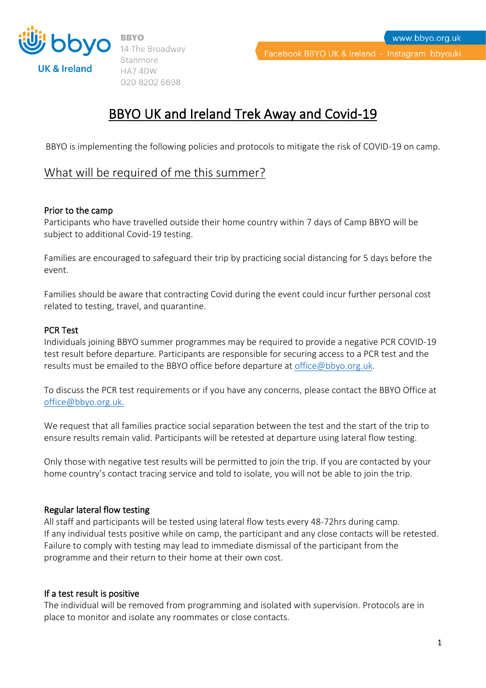

14 The Broadway Stanmore HA74DW 020 8202 6698

# BBYO UK and Ireland Trek Away and Covid-19

BBYO is implementing the following policies and protocols to mitigate the risk of COVID-19 on camp.

# What will be required of me this summer?

## Prior to the camp

Participants who have travelled outside their home country within 7 days of Camp BBYO will be subject to additional Covid-19 testing.

Families are encouraged to safeguard their trip by practicing social distancing for 5 days before the event.

Families should be aware that contracting Covid during the event could incur further personal cost related to testing, travel, and quarantine.

## PCR Test

Individuals joining BBYO summer programmes may be required to provide a negative PCR COVID-19 test result before departure. Participants are responsible for securing access to a PCR test and the results must be emailed to the BBYO office before departure at [office@bbyo.org.uk.](mailto:office@bbyo.org.uk)

To discuss the PCR test requirements or if you have any concerns, please contact the BBYO Office at [office@bbyo.org.uk.](mailto:office@bbyo.org.uk)

We request that all families practice social separation between the test and the start of the trip to ensure results remain valid. Participants will be retested at departure using lateral flow testing.

Only those with negative test results will be permitted to join the trip. If you are contacted by your home country's contact tracing service and told to isolate, you will not be able to join the trip.

#### Regular lateral flow testing

All staff and participants will be tested using lateral flow tests every 48-72hrs during camp. If any individual tests positive while on camp, the participant and any close contacts will be retested. Failure to comply with testing may lead to immediate dismissal of the participant from the programme and their return to their home at their own cost.

#### If a test result is positive

The individual will be removed from programming and isolated with supervision. Protocols are in place to monitor and isolate any roommates or close contacts.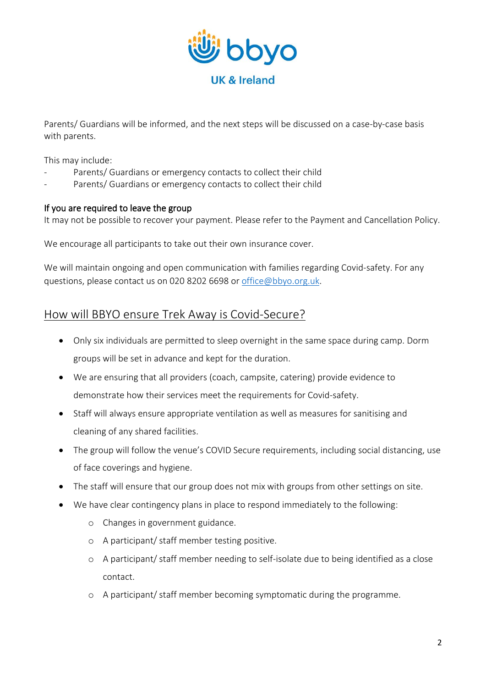

Parents/ Guardians will be informed, and the next steps will be discussed on a case-by-case basis with parents.

This may include:

- Parents/ Guardians or emergency contacts to collect their child
- Parents/ Guardians or emergency contacts to collect their child

## If you are required to leave the group

It may not be possible to recover your payment. Please refer to the Payment and Cancellation Policy.

We encourage all participants to take out their own insurance cover.

We will maintain ongoing and open communication with families regarding Covid-safety. For any questions, please contact us on 020 8202 6698 or [office@bbyo.org.uk.](mailto:office@bbyo.org.uk)

# How will BBYO ensure Trek Away is Covid-Secure?

- Only six individuals are permitted to sleep overnight in the same space during camp. Dorm groups will be set in advance and kept for the duration.
- We are ensuring that all providers (coach, campsite, catering) provide evidence to demonstrate how their services meet the requirements for Covid-safety.
- Staff will always ensure appropriate ventilation as well as measures for sanitising and cleaning of any shared facilities.
- The group will follow the venue's COVID Secure requirements, including social distancing, use of face coverings and hygiene.
- The staff will ensure that our group does not mix with groups from other settings on site.
- We have clear contingency plans in place to respond immediately to the following:
	- o Changes in government guidance.
	- o A participant/ staff member testing positive.
	- o A participant/ staff member needing to self-isolate due to being identified as a close contact.
	- o A participant/ staff member becoming symptomatic during the programme.